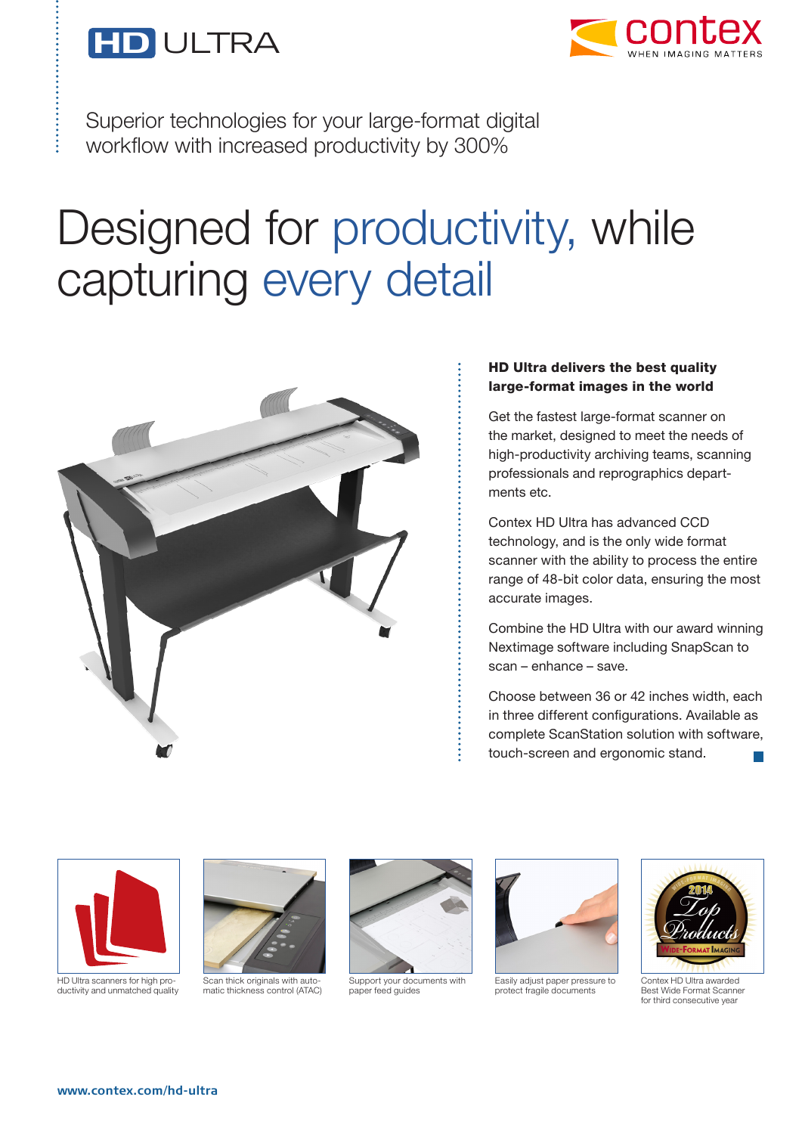



Superior technologies for your large-format digital workflow with increased productivity by 300%

# Designed for productivity, while capturing every detail



#### HD Ultra delivers the best quality large-format images in the world

Get the fastest large-format scanner on the market, designed to meet the needs of high-productivity archiving teams, scanning professionals and reprographics departments etc.

Contex HD Ultra has advanced CCD technology, and is the only wide format scanner with the ability to process the entire range of 48-bit color data, ensuring the most accurate images.

Combine the HD Ultra with our award winning Nextimage software including SnapScan to scan – enhance – save.

Choose between 36 or 42 inches width, each in three different configurations. Available as complete ScanStation solution with software, touch-screen and ergonomic stand.



HD Ultra scanners for high productivity and unmatched quality



Scan thick originals with automatic thickness control (ATAC)



Support your documents with paper feed guides



Easily adjust paper pressure to protect fragile documents



Contex HD Ultra awarded Best Wide Format Scanner for third consecutive year